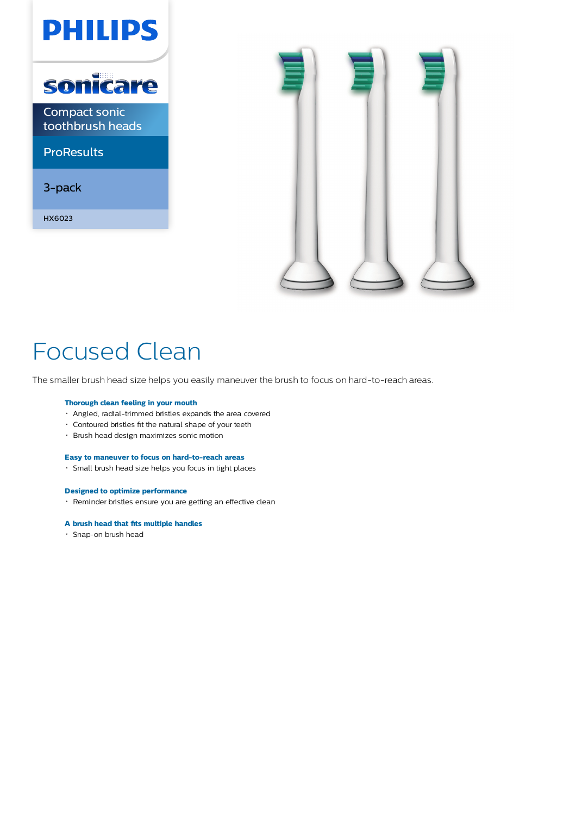



# Focused Clean

The smaller brush head size helps you easily maneuver the brush to focus on hard-to-reach areas.

# **Thorough clean feeling in your mouth**

- Angled, radial-trimmed bristles expands the area covered
- Contoured bristles fit the natural shape of your teeth
- Brush head design maximizes sonic motion

# **Easy to maneuver to focus on hard-to-reach areas**

Small brush head size helps you focus in tight places

## **Designed to optimize performance**

Reminder bristles ensure you are getting an effective clean

# **A brush head that fits multiple handles**

Snap-on brush head